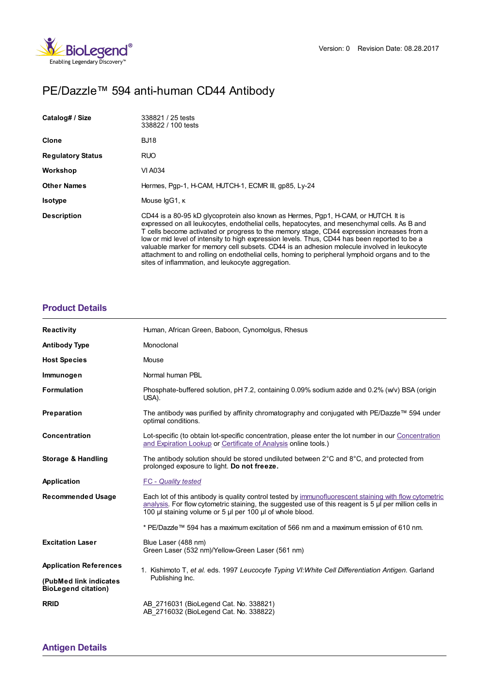

# PE/Dazzle™ 594 anti-human CD44 Antibody

| Catalog# / Size          | 338821 / 25 tests<br>338822 / 100 tests                                                                                                                                                                                                                                                                                                                                                                                                                                                                                                                                                                                                  |
|--------------------------|------------------------------------------------------------------------------------------------------------------------------------------------------------------------------------------------------------------------------------------------------------------------------------------------------------------------------------------------------------------------------------------------------------------------------------------------------------------------------------------------------------------------------------------------------------------------------------------------------------------------------------------|
| <b>Clone</b>             | <b>BJ18</b>                                                                                                                                                                                                                                                                                                                                                                                                                                                                                                                                                                                                                              |
| <b>Regulatory Status</b> | RUO                                                                                                                                                                                                                                                                                                                                                                                                                                                                                                                                                                                                                                      |
| Workshop                 | VI A034                                                                                                                                                                                                                                                                                                                                                                                                                                                                                                                                                                                                                                  |
| <b>Other Names</b>       | Hermes, Pap-1, H-CAM, HUTCH-1, ECMR III, qp85, Ly-24                                                                                                                                                                                                                                                                                                                                                                                                                                                                                                                                                                                     |
| <b>Isotype</b>           | Mouse IgG1, K                                                                                                                                                                                                                                                                                                                                                                                                                                                                                                                                                                                                                            |
| <b>Description</b>       | CD44 is a 80-95 kD glycoprotein also known as Hermes, Pgp1, H-CAM, or HUTCH. It is<br>expressed on all leukocytes, endothelial cells, hepatocytes, and mesenchymal cells. As B and<br>T cells become activated or progress to the memory stage, CD44 expression increases from a<br>low or mid level of intensity to high expression levels. Thus, CD44 has been reported to be a<br>valuable marker for memory cell subsets. CD44 is an adhesion molecule involved in leukocyte<br>attachment to and rolling on endothelial cells, homing to peripheral lymphoid organs and to the<br>sites of inflammation, and leukocyte aggregation. |

# **[Product](https://production-dynamicweb.biolegend.com/fr-ch/products/pedazzle-594-anti-human-cd44-antibody?pdf=true&displayInline=true&leftRightMargin=15&topBottomMargin=15&filename=PE/Dazzle%EF%BF%BD%EF%BF%BD%EF%BF%BD 594 anti-human CD44 Antibody.pdf#productDetails) Details**

| <b>Reactivity</b>                                    | Human, African Green, Baboon, Cynomolgus, Rhesus                                                                                                                                                                                                                                 |
|------------------------------------------------------|----------------------------------------------------------------------------------------------------------------------------------------------------------------------------------------------------------------------------------------------------------------------------------|
| <b>Antibody Type</b>                                 | Monoclonal                                                                                                                                                                                                                                                                       |
| <b>Host Species</b>                                  | Mouse                                                                                                                                                                                                                                                                            |
| Immunogen                                            | Normal human PBL                                                                                                                                                                                                                                                                 |
| <b>Formulation</b>                                   | Phosphate-buffered solution, pH 7.2, containing 0.09% sodium azide and 0.2% (w/v) BSA (origin<br>USA).                                                                                                                                                                           |
| Preparation                                          | The antibody was purified by affinity chromatography and conjugated with PE/Dazzle™ 594 under<br>optimal conditions.                                                                                                                                                             |
| <b>Concentration</b>                                 | Lot-specific (to obtain lot-specific concentration, please enter the lot number in our Concentration<br>and Expiration Lookup or Certificate of Analysis online tools.)                                                                                                          |
| <b>Storage &amp; Handling</b>                        | The antibody solution should be stored undiluted between $2^{\circ}$ C and $8^{\circ}$ C, and protected from<br>prolonged exposure to light. Do not freeze.                                                                                                                      |
| Application                                          | <b>FC</b> - Quality tested                                                                                                                                                                                                                                                       |
| <b>Recommended Usage</b>                             | Each lot of this antibody is quality control tested by immunofluorescent staining with flow cytometric<br>analysis. For flow cytometric staining, the suggested use of this reagent is $5 \mu$ per million cells in<br>100 µl staining volume or 5 µl per 100 µl of whole blood. |
|                                                      | * PE/Dazzle™ 594 has a maximum excitation of 566 nm and a maximum emission of 610 nm.                                                                                                                                                                                            |
| <b>Excitation Laser</b>                              | Blue Laser (488 nm)<br>Green Laser (532 nm)/Yellow-Green Laser (561 nm)                                                                                                                                                                                                          |
| <b>Application References</b>                        | 1. Kishimoto T, et al. eds. 1997 Leucocyte Typing VI: White Cell Differentiation Antigen. Garland<br>Publishing Inc.                                                                                                                                                             |
| (PubMed link indicates<br><b>BioLegend citation)</b> |                                                                                                                                                                                                                                                                                  |
| <b>RRID</b>                                          | AB 2716031 (BioLegend Cat. No. 338821)<br>AB 2716032 (BioLegend Cat. No. 338822)                                                                                                                                                                                                 |